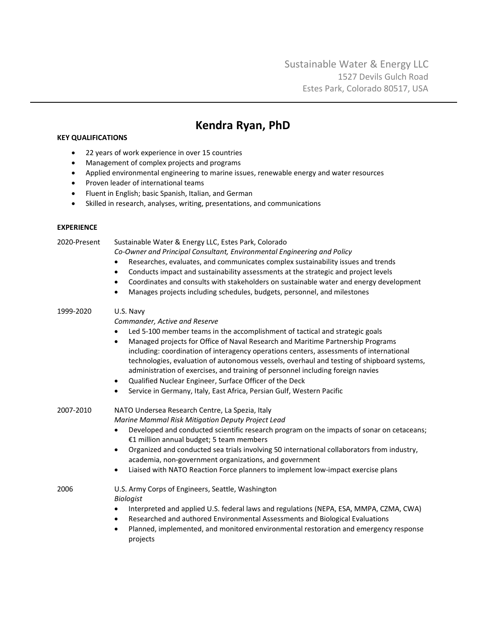# **Kendra Ryan, PhD**

# **KEY QUALIFICATIONS**

- 22 years of work experience in over 15 countries
- Management of complex projects and programs
- Applied environmental engineering to marine issues, renewable energy and water resources
- Proven leader of international teams
- Fluent in English; basic Spanish, Italian, and German
- Skilled in research, analyses, writing, presentations, and communications

## **EXPERIENCE**

2020-Present Sustainable Water & Energy LLC, Estes Park, Colorado

*Co-Owner and Principal Consultant, Environmental Engineering and Policy*

- Researches, evaluates, and communicates complex sustainability issues and trends
- Conducts impact and sustainability assessments at the strategic and project levels
- Coordinates and consults with stakeholders on sustainable water and energy development
- Manages projects including schedules, budgets, personnel, and milestones

# 1999-2020 U.S. Navy

*Commander, Active and Reserve*

- Led 5-100 member teams in the accomplishment of tactical and strategic goals
- Managed projects for Office of Naval Research and Maritime Partnership Programs including: coordination of interagency operations centers, assessments of international technologies, evaluation of autonomous vessels, overhaul and testing of shipboard systems, administration of exercises, and training of personnel including foreign navies
- Qualified Nuclear Engineer, Surface Officer of the Deck
- Service in Germany, Italy, East Africa, Persian Gulf, Western Pacific

2007-2010 NATO Undersea Research Centre, La Spezia, Italy *Marine Mammal Risk Mitigation Deputy Project Lead*

- Developed and conducted scientific research program on the impacts of sonar on cetaceans; €1 million annual budget; 5 team members
- Organized and conducted sea trials involving 50 international collaborators from industry, academia, non-government organizations, and government
- Liaised with NATO Reaction Force planners to implement low-impact exercise plans

2006 U.S. Army Corps of Engineers, Seattle, Washington *Biologist*

- Interpreted and applied U.S. federal laws and regulations (NEPA, ESA, MMPA, CZMA, CWA)
- Researched and authored Environmental Assessments and Biological Evaluations
- Planned, implemented, and monitored environmental restoration and emergency response projects